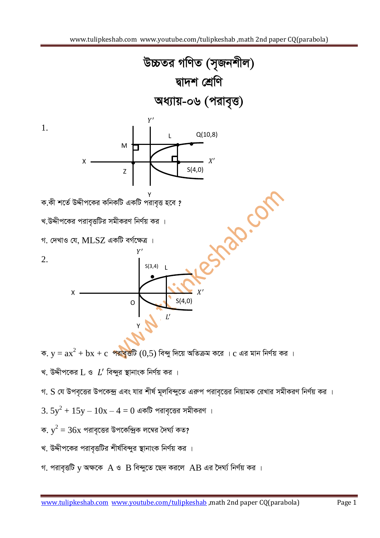

ক.  $y = ax^2 + bx + c$  পরাবৃত্তটি (0,5) বিন্দু দিয়ে অতিক্রম করে ।  $c$  এর মান নির্ণয় কর ।

- খ. উদ্দীপকের  $L$  ও  $L'$  বিন্দুর স্থানাংক নির্ণয় কর ।
- গ. S যে উপবৃত্তের উপকেন্দ্র এবং যার শীর্ষ মূলবিন্দুতে এরুপ পরাবৃত্তের নিয়ামক রেখার সমীকরণ নির্ণয় কর ।
- $3.5y^2 + 15y 10x 4 = 0$  একটি পরাবৃত্তের সমীকরণ ।
- ক.  $y^2 = 36x$  পরাবৃত্তের উপকেন্দ্রিক লম্বের দৈর্ঘ্য কত?
- খ. উদ্দীপকের পরাবৃত্তটির শীর্ষবিন্দুর স্থানাংক নির্ণয় কর ।
- গ. পরাবৃত্তটি  $y$  অক্ষকে  $A$  ও  $B$  বিন্দুতে ছেদ করলে  $AB$  এর দৈর্ঘ্য নির্ণয় কর ।